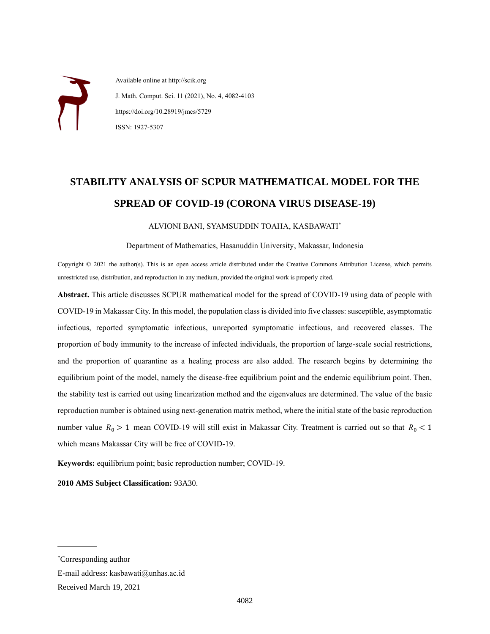Available online at http://scik.org J. Math. Comput. Sci. 11 (2021), No. 4, 4082-4103 https://doi.org/10.28919/jmcs/5729 ISSN: 1927-5307

# **STABILITY ANALYSIS OF SCPUR MATHEMATICAL MODEL FOR THE SPREAD OF COVID-19 (CORONA VIRUS DISEASE-19)**

#### ALVIONI BANI, SYAMSUDDIN TOAHA, KASBAWATI\*

#### Department of Mathematics, Hasanuddin University, Makassar, Indonesia

Copyright © 2021 the author(s). This is an open access article distributed under the Creative Commons Attribution License, which permits unrestricted use, distribution, and reproduction in any medium, provided the original work is properly cited.

**Abstract.** This article discusses SCPUR mathematical model for the spread of COVID-19 using data of people with COVID-19 in Makassar City. In this model, the population class is divided into five classes: susceptible, asymptomatic infectious, reported symptomatic infectious, unreported symptomatic infectious, and recovered classes. The proportion of body immunity to the increase of infected individuals, the proportion of large-scale social restrictions, and the proportion of quarantine as a healing process are also added. The research begins by determining the equilibrium point of the model, namely the disease-free equilibrium point and the endemic equilibrium point. Then, the stability test is carried out using linearization method and the eigenvalues are determined. The value of the basic reproduction number is obtained using next-generation matrix method, where the initial state of the basic reproduction number value  $R_0 > 1$  mean COVID-19 will still exist in Makassar City. Treatment is carried out so that  $R_0 < 1$ which means Makassar City will be free of COVID-19.

**Keywords:** equilibrium point; basic reproduction number; COVID-19.

**2010 AMS Subject Classification:** 93A30.

l

<sup>\*</sup>Corresponding author

E-mail address: kasbawati@unhas.ac.id

Received March 19, 2021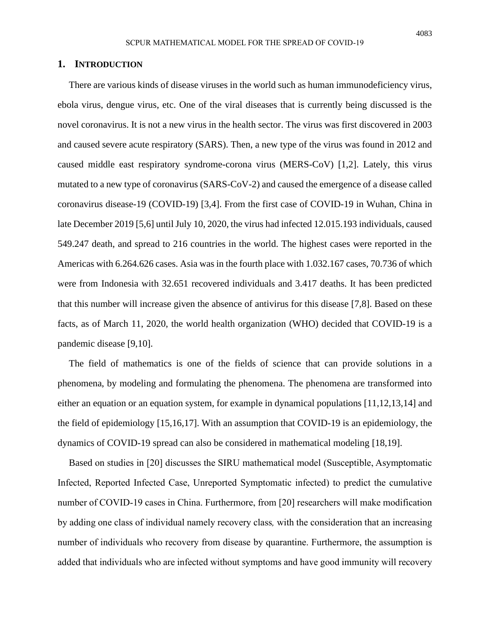#### **1. INTRODUCTION**

There are various kinds of disease viruses in the world such as human immunodeficiency virus, ebola virus, dengue virus, etc. One of the viral diseases that is currently being discussed is the novel coronavirus. It is not a new virus in the health sector. The virus was first discovered in 2003 and caused severe acute respiratory (SARS). Then, a new type of the virus was found in 2012 and caused middle east respiratory syndrome-corona virus (MERS-CoV) [1,2]. Lately, this virus mutated to a new type of coronavirus (SARS-CoV-2) and caused the emergence of a disease called coronavirus disease-19 (COVID-19) [3,4]. From the first case of COVID-19 in Wuhan, China in late December 2019 [5,6] until July 10, 2020, the virus had infected 12.015.193 individuals, caused 549.247 death, and spread to 216 countries in the world. The highest cases were reported in the Americas with 6.264.626 cases. Asia was in the fourth place with 1.032.167 cases, 70.736 of which were from Indonesia with 32.651 recovered individuals and 3.417 deaths. It has been predicted that this number will increase given the absence of antivirus for this disease [7,8]. Based on these facts, as of March 11, 2020, the world health organization (WHO) decided that COVID-19 is a pandemic disease [9,10].

The field of mathematics is one of the fields of science that can provide solutions in a phenomena, by modeling and formulating the phenomena. The phenomena are transformed into either an equation or an equation system, for example in dynamical populations [11,12,13,14] and the field of epidemiology [15,16,17]. With an assumption that COVID-19 is an epidemiology, the dynamics of COVID-19 spread can also be considered in mathematical modeling [18,19].

Based on studies in [20] discusses the SIRU mathematical model (Susceptible, Asymptomatic Infected, Reported Infected Case, Unreported Symptomatic infected) to predict the cumulative number of COVID-19 cases in China. Furthermore, from [20] researchers will make modification by adding one class of individual namely recovery class*,* with the consideration that an increasing number of individuals who recovery from disease by quarantine. Furthermore, the assumption is added that individuals who are infected without symptoms and have good immunity will recovery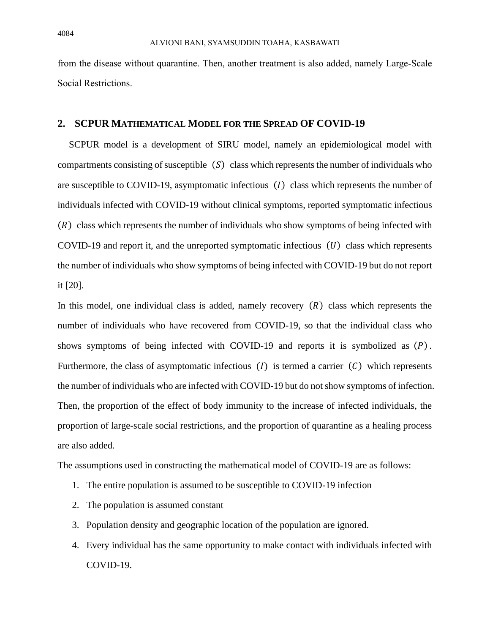from the disease without quarantine. Then, another treatment is also added, namely Large-Scale Social Restrictions.

## **2. SCPUR MATHEMATICAL MODEL FOR THE SPREAD OF COVID-19**

SCPUR model is a development of SIRU model, namely an epidemiological model with compartments consisting of susceptible  $(S)$  class which represents the number of individuals who are susceptible to COVID-19, asymptomatic infectious  $(I)$  class which represents the number of individuals infected with COVID-19 without clinical symptoms, reported symptomatic infectious  $(R)$  class which represents the number of individuals who show symptoms of being infected with COVID-19 and report it, and the unreported symptomatic infectious  $(U)$  class which represents the number of individuals who show symptoms of being infected with COVID-19 but do not report it [20].

In this model, one individual class is added, namely recovery  $(R)$  class which represents the number of individuals who have recovered from COVID-19, so that the individual class who shows symptoms of being infected with COVID-19 and reports it is symbolized as  $(P)$ . Furthermore, the class of asymptomatic infectious (1) is termed a carrier ( $C$ ) which represents the number of individuals who are infected with COVID-19 but do not show symptoms of infection. Then, the proportion of the effect of body immunity to the increase of infected individuals, the proportion of large-scale social restrictions, and the proportion of quarantine as a healing process are also added.

The assumptions used in constructing the mathematical model of COVID-19 are as follows:

- 1. The entire population is assumed to be susceptible to COVID-19 infection
- 2. The population is assumed constant
- 3. Population density and geographic location of the population are ignored.
- 4. Every individual has the same opportunity to make contact with individuals infected with COVID-19.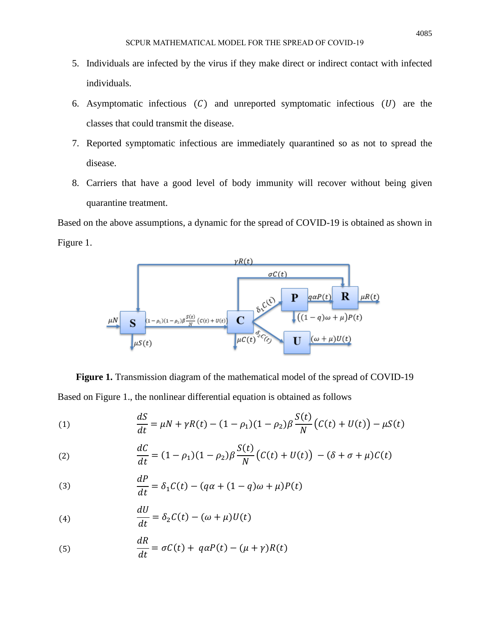- 5. Individuals are infected by the virus if they make direct or indirect contact with infected individuals.
- 6. Asymptomatic infectious  $(C)$  and unreported symptomatic infectious  $(U)$  are the classes that could transmit the disease.
- 7. Reported symptomatic infectious are immediately quarantined so as not to spread the disease.
- 8. Carriers that have a good level of body immunity will recover without being given quarantine treatment.

Based on the above assumptions, a dynamic for the spread of COVID-19 is obtained as shown in Figure 1.



**Figure 1.** Transmission diagram of the mathematical model of the spread of COVID-19 Based on Figure 1., the nonlinear differential equation is obtained as follows

(1) 
$$
\frac{dS}{dt} = \mu N + \gamma R(t) - (1 - \rho_1)(1 - \rho_2)\beta \frac{S(t)}{N} (C(t) + U(t)) - \mu S(t)
$$

(2) 
$$
\frac{dC}{dt} = (1 - \rho_1)(1 - \rho_2)\beta \frac{S(t)}{N} (C(t) + U(t)) - (\delta + \sigma + \mu)C(t)
$$

(3) 
$$
\frac{dP}{dt} = \delta_1 C(t) - (q\alpha + (1-q)\omega + \mu)P(t)
$$

(4) 
$$
\frac{dU}{dt} = \delta_2 C(t) - (\omega + \mu)U(t)
$$

(5) 
$$
\frac{dR}{dt} = \sigma C(t) + q\alpha P(t) - (\mu + \gamma)R(t)
$$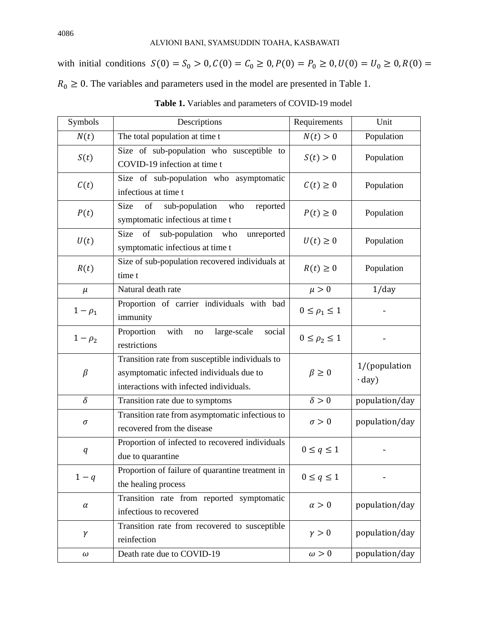with initial conditions  $S(0) = S_0 > 0$ ,  $C(0) = C_0 \ge 0$ ,  $P(0) = P_0 \ge 0$ ,  $U(0) = U_0 \ge 0$ ,  $R(0) =$  $R_0 \geq 0$ . The variables and parameters used in the model are presented in Table 1.

| Symbols      | Descriptions                                                                                                                           | Requirements           | Unit                           |
|--------------|----------------------------------------------------------------------------------------------------------------------------------------|------------------------|--------------------------------|
| N(t)         | The total population at time t                                                                                                         | N(t) > 0               | Population                     |
| S(t)         | Size of sub-population who susceptible to<br>COVID-19 infection at time t                                                              | S(t) > 0               | Population                     |
| C(t)         | Size of sub-population who asymptomatic<br>infectious at time t                                                                        | $C(t) \geq 0$          | Population                     |
| P(t)         | Size<br>of<br>sub-population<br>who<br>reported<br>symptomatic infectious at time t                                                    | $P(t) \geq 0$          | Population                     |
| U(t)         | Size<br>sub-population who<br>of<br>unreported<br>symptomatic infectious at time t                                                     | $U(t) \geq 0$          | Population                     |
| R(t)         | Size of sub-population recovered individuals at<br>time t                                                                              | $R(t) \geq 0$          | Population                     |
| $\mu$        | Natural death rate                                                                                                                     | $\mu > 0$              | 1/day                          |
| $1-\rho_1$   | Proportion of carrier individuals with bad<br>immunity                                                                                 | $0 \leq \rho_1 \leq 1$ |                                |
| $1 - \rho_2$ | Proportion<br>with<br>large-scale<br>social<br>$\rm no$<br>restrictions                                                                |                        |                                |
| $\beta$      | Transition rate from susceptible individuals to<br>asymptomatic infected individuals due to<br>interactions with infected individuals. | $\beta \geq 0$         | 1/(population)<br>$\cdot$ day) |
| $\delta$     | Transition rate due to symptoms                                                                                                        | $\delta > 0$           | population/day                 |
| $\sigma$     | Transition rate from asymptomatic infectious to<br>recovered from the disease                                                          | $\sigma > 0$           | population/day                 |
| q            | Proportion of infected to recovered individuals<br>due to quarantine                                                                   | $0 \leq q \leq 1$      |                                |
| $1-q$        | Proportion of failure of quarantine treatment in<br>the healing process                                                                | $0 \leq q \leq 1$      |                                |
| $\alpha$     | Transition rate from reported symptomatic<br>infectious to recovered                                                                   | $\alpha > 0$           | population/day                 |
| γ            | Transition rate from recovered to susceptible<br>reinfection                                                                           |                        | population/day                 |
| $\omega$     | Death rate due to COVID-19                                                                                                             | $\omega > 0$           | population/day                 |

**Table 1.** Variables and parameters of COVID-19 model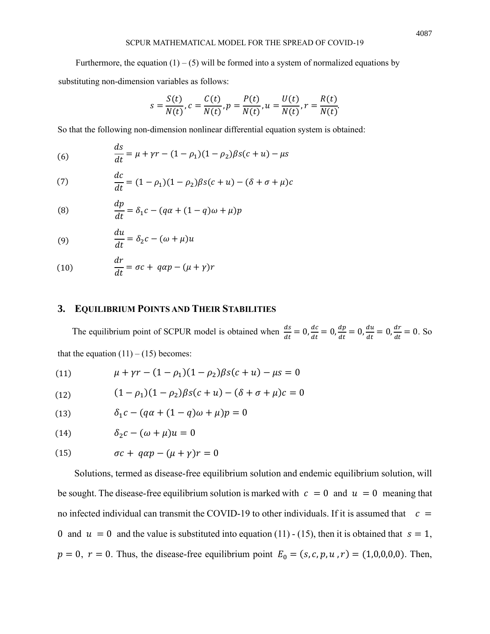#### SCPUR MATHEMATICAL MODEL FOR THE SPREAD OF COVID-19

Furthermore, the equation  $(1) - (5)$  will be formed into a system of normalized equations by substituting non-dimension variables as follows:

$$
s = \frac{S(t)}{N(t)}, c = \frac{C(t)}{N(t)}, p = \frac{P(t)}{N(t)}, u = \frac{U(t)}{N(t)}, r = \frac{R(t)}{N(t)}
$$

.

So that the following non-dimension nonlinear differential equation system is obtained:

(6) 
$$
\frac{ds}{dt} = \mu + \gamma r - (1 - \rho_1)(1 - \rho_2)\beta s(c + u) - \mu s
$$

(7) 
$$
\frac{dc}{dt} = (1 - \rho_1)(1 - \rho_2)\beta s(c + u) - (\delta + \sigma + \mu)c
$$

(8) 
$$
\frac{dp}{dt} = \delta_1 c - (q\alpha + (1-q)\omega + \mu)p
$$

(9) 
$$
\frac{du}{dt} = \delta_2 c - (\omega + \mu)u
$$

(10) 
$$
\frac{dr}{dt} = \sigma c + q \alpha p - (\mu + \gamma)r
$$

## **3. EQUILIBRIUM POINTS AND THEIR STABILITIES**

The equilibrium point of SCPUR model is obtained when  $\frac{ds}{dt} = 0$ ,  $\frac{dc}{dt}$  $\frac{dc}{dt} = 0, \frac{dp}{dt}$  $\frac{dp}{dt} = 0, \frac{du}{dt}$  $\frac{du}{dt} = 0, \frac{dr}{dt}$  $\frac{di}{dt} = 0$ . So that the equation  $(11) - (15)$  becomes:

(11) 
$$
\mu + \gamma r - (1 - \rho_1)(1 - \rho_2)\beta s(c + u) - \mu s = 0
$$

(12) 
$$
(1 - \rho_1)(1 - \rho_2)\beta s(c + u) - (\delta + \sigma + \mu)c = 0
$$

(13) 
$$
\delta_1 c - (q\alpha + (1-q)\omega + \mu)p = 0
$$

$$
(14) \qquad \qquad \delta_2 c - (\omega + \mu)u = 0
$$

(15) 
$$
\sigma c + q \alpha p - (\mu + \gamma)r = 0
$$

Solutions, termed as disease-free equilibrium solution and endemic equilibrium solution, will be sought. The disease-free equilibrium solution is marked with  $c = 0$  and  $u = 0$  meaning that no infected individual can transmit the COVID-19 to other individuals. If it is assumed that  $\epsilon =$ 0 and  $u = 0$  and the value is substituted into equation (11) - (15), then it is obtained that  $s = 1$ ,  $p = 0$ ,  $r = 0$ . Thus, the disease-free equilibrium point  $E_0 = (s, c, p, u, r) = (1, 0, 0, 0, 0)$ . Then,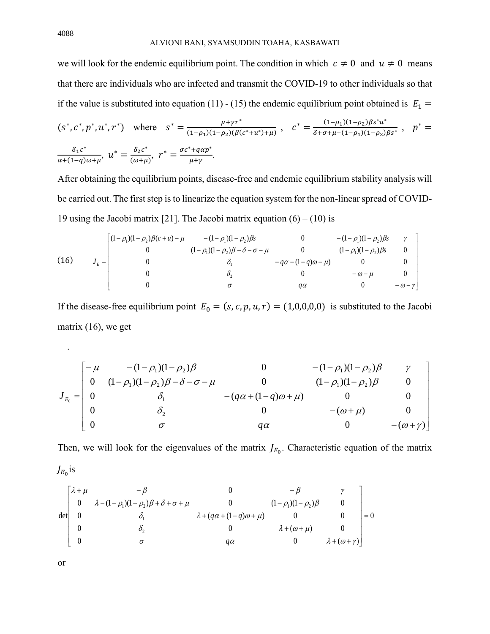we will look for the endemic equilibrium point. The condition in which  $c \neq 0$  and  $u \neq 0$  means that there are individuals who are infected and transmit the COVID-19 to other individuals so that if the value is substituted into equation (11) - (15) the endemic equilibrium point obtained is  $E_1 =$ 

$$
(s^*, c^*, p^*, u^*, r^*)
$$
 where  $s^* = \frac{\mu + \gamma r^*}{(1 - \rho_1)(1 - \rho_2)(\beta(c^* + u^*) + \mu)}$ ,  $c^* = \frac{(1 - \rho_1)(1 - \rho_2)\beta s^* u^*}{\delta + \sigma + \mu - (1 - \rho_1)(1 - \rho_2)\beta s^*}$ ,  $p^* = \frac{\delta_1 c^*}{\alpha + (1 - \rho_1)\omega + \mu}$ ,  $u^* = \frac{\delta_2 c^*}{(\omega + \mu)}$ ,  $r^* = \frac{\sigma c^* + q\alpha p^*}{\mu + \gamma}$ .

After obtaining the equilibrium points, disease-free and endemic equilibrium stability analysis will be carried out. The first step is to linearize the equation system for the non-linear spread of COVID-19 using the Jacobi matrix [21]. The Jacobi matrix equation  $(6) - (10)$  is

(16) 
$$
J_E = \begin{bmatrix} (1 - \rho_1)(1 - \rho_2)\beta(c + u) - \mu & -(1 - \rho_1)(1 - \rho_2)\beta s & 0 & -(1 - \rho_1)(1 - \rho_2)\beta s & \gamma \\ 0 & (1 - \rho_1)(1 - \rho_2)\beta - \delta - \sigma - \mu & 0 & (1 - \rho_1)(1 - \rho_2)\beta s & 0 \\ 0 & \delta_1 & -q\alpha - (1 - q)\omega - \mu & 0 & 0 \\ 0 & \delta_2 & 0 & -\omega - \mu & 0 \\ 0 & \sigma & q\alpha & 0 & -\omega - \gamma \end{bmatrix}
$$

If the disease-free equilibrium point  $E_0 = (s, c, p, u, r) = (1,0,0,0,0)$  is substituted to the Jacobi matrix (16), we get

$$
J_{E_0} = \begin{bmatrix}\n-\mu & -(1 - \rho_1)(1 - \rho_2)\beta & 0 & -(1 - \rho_1)(1 - \rho_2)\beta & \gamma \\
0 & (1 - \rho_1)(1 - \rho_2)\beta - \delta - \sigma - \mu & 0 & (1 - \rho_1)(1 - \rho_2)\beta & 0 \\
0 & \delta_1 & -(q\alpha + (1 - q)\omega + \mu) & 0 & 0 \\
0 & \delta_2 & 0 & -( \omega + \mu) & 0 \\
0 & \sigma & q\alpha & 0 & -( \omega + \gamma)\n\end{bmatrix}
$$

Then, we will look for the eigenvalues of the matrix  $J_{E_0}$ . Characteristic equation of the matrix

$$
\det\begin{bmatrix}\n\lambda + \mu & -\beta & 0 & -\beta & \gamma \\
0 & \lambda - (1 - \rho_1)(1 - \rho_2)\beta + \delta + \sigma + \mu & 0 & (1 - \rho_1)(1 - \rho_2)\beta & 0 \\
0 & \delta_1 & \lambda + (q\alpha + (1 - q)\omega + \mu) & 0 & 0 \\
0 & \delta_2 & 0 & \lambda + (\omega + \mu) & 0 \\
0 & \sigma & q\alpha & 0 & \lambda + (\omega + \gamma)\n\end{bmatrix} = 0
$$

or

 $J_{E_0}$ is

.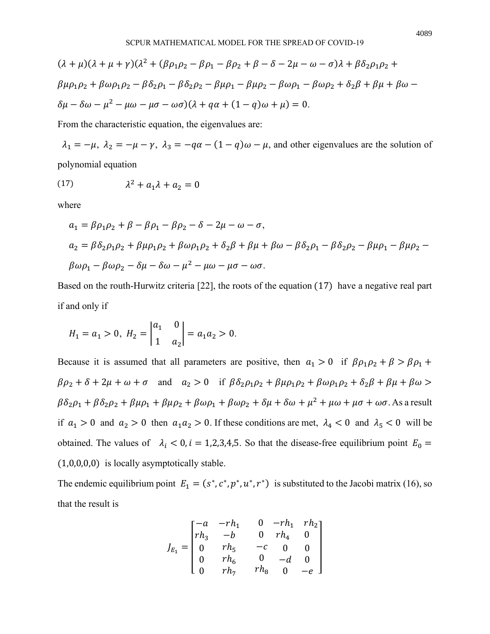$$
(\lambda + \mu)(\lambda + \mu + \gamma)(\lambda^2 + (\beta \rho_1 \rho_2 - \beta \rho_1 - \beta \rho_2 + \beta - \delta - 2\mu - \omega - \sigma)\lambda + \beta \delta_2 \rho_1 \rho_2 +
$$
  
\n
$$
\beta \mu \rho_1 \rho_2 + \beta \omega \rho_1 \rho_2 - \beta \delta_2 \rho_1 - \beta \delta_2 \rho_2 - \beta \mu \rho_1 - \beta \mu \rho_2 - \beta \omega \rho_1 - \beta \omega \rho_2 + \delta_2 \beta + \beta \mu + \beta \omega -
$$
  
\n
$$
\delta \mu - \delta \omega - \mu^2 - \mu \omega - \mu \sigma - \omega \sigma)(\lambda + q\alpha + (1 - q)\omega + \mu) = 0.
$$

From the characteristic equation, the eigenvalues are:

 $\lambda_1 = -\mu$ ,  $\lambda_2 = -\mu - \gamma$ ,  $\lambda_3 = -q\alpha - (1 - q)\omega - \mu$ , and other eigenvalues are the solution of polynomial equation

$$
(17) \hspace{1cm} \lambda^2 + a_1 \lambda + a_2 = 0
$$

where

$$
a_1 = \beta \rho_1 \rho_2 + \beta - \beta \rho_1 - \beta \rho_2 - \delta - 2\mu - \omega - \sigma,
$$
  
\n
$$
a_2 = \beta \delta_2 \rho_1 \rho_2 + \beta \mu \rho_1 \rho_2 + \beta \omega \rho_1 \rho_2 + \delta_2 \beta + \beta \mu + \beta \omega - \beta \delta_2 \rho_1 - \beta \delta_2 \rho_2 - \beta \mu \rho_1 - \beta \mu \rho_2 - \beta \omega \rho_1 - \beta \omega \rho_2 - \delta \mu - \delta \omega - \mu^2 - \mu \omega - \mu \sigma - \omega \sigma.
$$

Based on the routh-Hurwitz criteria [22], the roots of the equation (17) have a negative real part if and only if

$$
H_1 = a_1 > 0, H_2 = \begin{vmatrix} a_1 & 0 \\ 1 & a_2 \end{vmatrix} = a_1 a_2 > 0.
$$

Because it is assumed that all parameters are positive, then  $a_1 > 0$  if  $\beta \rho_1 \rho_2 + \beta > \beta \rho_1 +$  $\beta \rho_2 + \delta + 2\mu + \omega + \sigma$  and  $a_2 > 0$  if  $\beta \delta_2 \rho_1 \rho_2 + \beta \mu \rho_1 \rho_2 + \beta \omega \rho_1 \rho_2 + \delta_2 \beta + \beta \mu + \beta \omega >$  $\beta\delta_2\rho_1+\beta\delta_2\rho_2+\beta\mu\rho_1+\beta\mu\rho_2+\beta\omega\rho_1+\beta\omega\rho_2+\delta\mu+\delta\omega+\mu^2+\mu\omega+\mu\sigma+\omega\sigma.$  As a result if  $a_1 > 0$  and  $a_2 > 0$  then  $a_1 a_2 > 0$ . If these conditions are met,  $\lambda_4 < 0$  and  $\lambda_5 < 0$  will be obtained. The values of  $\lambda_i < 0$ ,  $i = 1,2,3,4,5$ . So that the disease-free equilibrium point  $E_0 =$ (1,0,0,0,0) is locally asymptotically stable.

The endemic equilibrium point  $E_1 = (s^*, c^*, p^*, u^*, r^*)$  is substituted to the Jacobi matrix (16), so that the result is

$$
J_{E_1} = \begin{bmatrix} -a & -rh_1 & 0 & -rh_1 & rh_2 \\ rh_3 & -b & 0 & rh_4 & 0 \\ 0 & rh_5 & -c & 0 & 0 \\ 0 & rh_6 & 0 & -d & 0 \\ 0 & rh_7 & rh_8 & 0 & -e \end{bmatrix}
$$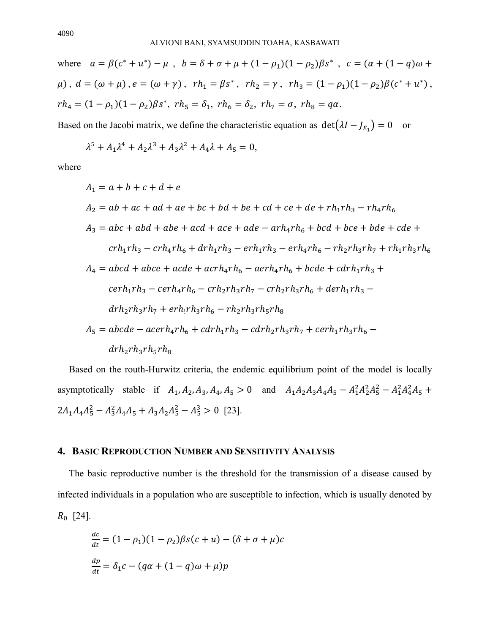where  $a = \beta(c^* + u^*) - \mu$ ,  $b = \delta + \sigma + \mu + (1 - \rho_1)(1 - \rho_2)\beta s^*$ ,  $c = (\alpha + (1 - \alpha)\omega + \sigma^2 s^*)$  $\mu$ ),  $d = (\omega + \mu)$ ,  $e = (\omega + \gamma)$ ,  $rh_1 = \beta s^*$ ,  $rh_2 = \gamma$ ,  $rh_3 = (1 - \rho_1)(1 - \rho_2)\beta(c^* + u^*)$ ,  $rh_4 = (1 - \rho_1)(1 - \rho_2)\beta s^*$ ,  $rh_5 = \delta_1$ ,  $rh_6 = \delta_2$ ,  $rh_7 = \sigma$ ,  $rh_8 = q\alpha$ .

Based on the Jacobi matrix, we define the characteristic equation as  $\det(\lambda I - J_{E_1}) = 0$  or

$$
\lambda^5 + A_1 \lambda^4 + A_2 \lambda^3 + A_3 \lambda^2 + A_4 \lambda + A_5 = 0,
$$

where

$$
A_1 = a + b + c + d + e
$$
  
\n
$$
A_2 = ab + ac + ad + ae + bc + bd + be + cd + ce + de + rh_1rh_3 - rh_4rh_6
$$
  
\n
$$
A_3 = abc + abd + abe + acd + ace + ade - arh_4rh_6 + bcd + bce + bde + cde +
$$
  
\n
$$
crh_1rh_3 - crh_4rh_6 + drh_1rh_3 - erh_1rh_3 - erh_4rh_6 - rh_2rh_3rh_7 + rh_1rh_3rh_6
$$
  
\n
$$
A_4 = abcd + abce + acde + acrh_4rh_6 - aerh_4rh_6 + bcde + cdrh_1rh_3 +
$$
  
\n
$$
cerh_1rh_3 - cerh_4rh_6 - crh_2rh_3rh_7 - crh_2rh_3rh_6 + derh_1rh_3 -
$$
  
\n
$$
drh_2rh_3rh_7 + erh_1rh_3rh_6 - rh_2rh_3rh_5rh_8
$$
  
\n
$$
A_5 = abcde - acerh_4rh_6 + cdrh_1rh_3 - cdrh_2rh_3rh_7 + cerh_1rh_3rh_6 -
$$
  
\n
$$
drh_2rh_3rh_5rh_8
$$

Based on the routh-Hurwitz criteria, the endemic equilibrium point of the model is locally asymptotically stable if  $A_1$ ,  $A_2$ ,  $A_3$ ,  $A_4$ ,  $A_5 > 0$  and  $A_1A_2A_3A_4A_5 - A_1^2A_2^2A_5^2 - A_1^2A_4^2A_5 +$  $2A_1A_4A_5^2 - A_3^2A_4A_5 + A_3A_2A_5^2 - A_5^3 > 0$  [23].

### **4. BASIC REPRODUCTION NUMBER AND SENSITIVITY ANALYSIS**

The basic reproductive number is the threshold for the transmission of a disease caused by infected individuals in a population who are susceptible to infection, which is usually denoted by  $R_0$  [24].

$$
\frac{dc}{dt} = (1 - \rho_1)(1 - \rho_2)\beta s(c + u) - (\delta + \sigma + \mu)c
$$
  

$$
\frac{dp}{dt} = \delta_1 c - (q\alpha + (1 - q)\omega + \mu)p
$$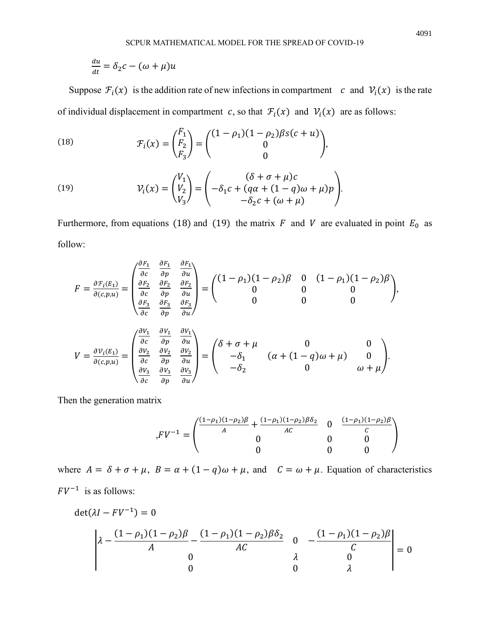$$
\frac{du}{dt} = \delta_2 c - (\omega + \mu)u
$$

Suppose  $\mathcal{F}_i(x)$  is the addition rate of new infections in compartment  $c$  and  $\mathcal{V}_i(x)$  is the rate of individual displacement in compartment c, so that  $\mathcal{F}_i(x)$  and  $\mathcal{V}_i(x)$  are as follows:

(18) 
$$
\mathcal{F}_i(x) = \begin{pmatrix} F_1 \\ F_2 \\ F_3 \end{pmatrix} = \begin{pmatrix} (1 - \rho_1)(1 - \rho_2)\beta s(c + u) \\ 0 \\ 0 \end{pmatrix},
$$

(19) 
$$
\mathcal{V}_i(x) = \begin{pmatrix} V_1 \\ V_2 \\ V_3 \end{pmatrix} = \begin{pmatrix} (\delta + \sigma + \mu)c \\ -\delta_1c + (q\alpha + (1 - q)\omega + \mu)p \\ -\delta_2c + (\omega + \mu) \end{pmatrix}.
$$

Furthermore, from equations (18) and (19) the matrix  $F$  and  $V$  are evaluated in point  $E_0$  as follow:

$$
F = \frac{\partial F_i(E_1)}{\partial(c, p, u)} = \begin{pmatrix} \frac{\partial F_1}{\partial c} & \frac{\partial F_1}{\partial p} & \frac{\partial F_1}{\partial u} \\ \frac{\partial F_2}{\partial c} & \frac{\partial F_2}{\partial p} & \frac{\partial F_2}{\partial u} \\ \frac{\partial F_3}{\partial c} & \frac{\partial F_3}{\partial p} & \frac{\partial F_3}{\partial u} \end{pmatrix} = \begin{pmatrix} (1 - \rho_1)(1 - \rho_2)\beta & 0 & (1 - \rho_1)(1 - \rho_2)\beta \\ 0 & 0 & 0 \\ 0 & 0 & 0 \end{pmatrix},
$$
  
\n
$$
V = \frac{\partial V_i(E_1)}{\partial(c, p, u)} = \begin{pmatrix} \frac{\partial V_1}{\partial c} & \frac{\partial V_1}{\partial p} & \frac{\partial V_1}{\partial u} \\ \frac{\partial V_2}{\partial c} & \frac{\partial V_2}{\partial p} & \frac{\partial V_2}{\partial u} \\ \frac{\partial V_3}{\partial c} & \frac{\partial V_3}{\partial p} & \frac{\partial V_3}{\partial u} \end{pmatrix} = \begin{pmatrix} \delta + \sigma + \mu & 0 & 0 \\ -\delta_1 & (\alpha + (1 - q)\omega + \mu) & 0 \\ -\delta_2 & 0 & \omega + \mu \end{pmatrix}.
$$

Then the generation matrix

$$
,FV^{-1} = \begin{pmatrix} \frac{(1-\rho_1)(1-\rho_2)\beta}{A} + \frac{(1-\rho_1)(1-\rho_2)\beta\delta_2}{AC} & 0 & \frac{(1-\rho_1)(1-\rho_2)\beta}{C} \\ 0 & 0 & 0 \\ 0 & 0 & 0 \end{pmatrix}
$$

where  $A = \delta + \sigma + \mu$ ,  $B = \alpha + (1 - q)\omega + \mu$ , and  $C = \omega + \mu$ . Equation of characteristics  $FV^{-1}$  is as follows:

$$
\det(\lambda I - FV^{-1}) = 0
$$
  

$$
\lambda - \frac{(1 - \rho_1)(1 - \rho_2)\beta}{A} - \frac{(1 - \rho_1)(1 - \rho_2)\beta\delta_2}{AC} = 0
$$
  

$$
\lambda - \frac{(1 - \rho_1)(1 - \rho_2)\beta}{C}
$$
  

$$
\lambda = 0
$$
  

$$
\lambda = 0
$$
  

$$
\lambda = 0
$$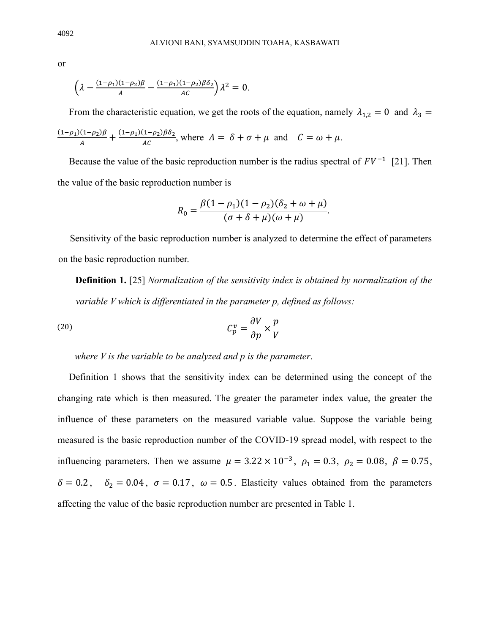or

$$
\left(\lambda - \frac{(1-\rho_1)(1-\rho_2)\beta}{A} - \frac{(1-\rho_1)(1-\rho_2)\beta\delta_2}{AC}\right)\lambda^2 = 0.
$$

From the characteristic equation, we get the roots of the equation, namely  $\lambda_{1,2} = 0$  and  $\lambda_3 =$  $(1 - \rho_1)(1 - \rho_2)$ β  $\frac{(1-\rho_2)\beta}{A} + \frac{(1-\rho_1)(1-\rho_2)\beta\delta_2}{AC}$  $\frac{(1 - \mu_2)\rho_0}{AC}$ , where  $A = \delta + \sigma + \mu$  and  $C = \omega + \mu$ .

Because the value of the basic reproduction number is the radius spectral of  $FV^{-1}$  [21]. Then the value of the basic reproduction number is

$$
R_0 = \frac{\beta(1-\rho_1)(1-\rho_2)(\delta_2+\omega+\mu)}{(\sigma+\delta+\mu)(\omega+\mu)}.
$$

Sensitivity of the basic reproduction number is analyzed to determine the effect of parameters on the basic reproduction number.

**Definition 1.** [25] *Normalization of the sensitivity index is obtained by normalization of the variable V which is differentiated in the parameter p, defined as follows:* 

(20) 
$$
C_p^{\nu} = \frac{\partial V}{\partial p} \times \frac{p}{V}
$$

*where V is the variable to be analyzed and p is the parameter*.

Definition 1 shows that the sensitivity index can be determined using the concept of the changing rate which is then measured. The greater the parameter index value, the greater the influence of these parameters on the measured variable value. Suppose the variable being measured is the basic reproduction number of the COVID-19 spread model, with respect to the influencing parameters. Then we assume  $\mu = 3.22 \times 10^{-3}$ ,  $\rho_1 = 0.3$ ,  $\rho_2 = 0.08$ ,  $\beta = 0.75$ ,  $\delta = 0.2$ ,  $\delta_2 = 0.04$ ,  $\sigma = 0.17$ ,  $\omega = 0.5$ . Elasticity values obtained from the parameters affecting the value of the basic reproduction number are presented in Table 1.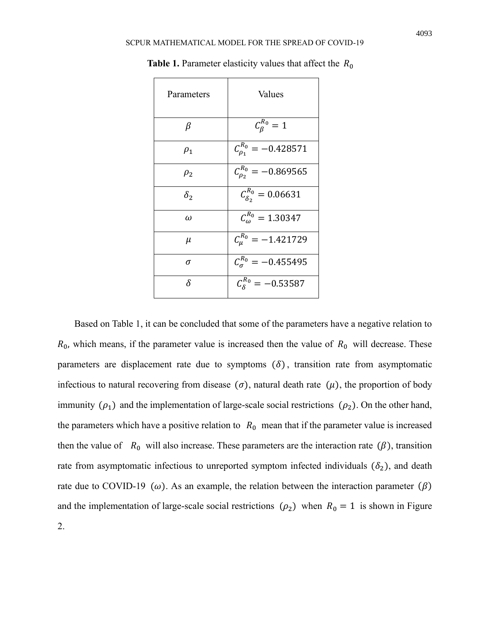| Parameters | Values                         |
|------------|--------------------------------|
| β          | $\mathcal{C}_{\beta}^{R_0}=1$  |
| $\rho_1$   | $C_{\rho_1}^{R_0} = -0.428571$ |
| $\rho_{2}$ | $C_{p_2}^{R_0} = -0.869565$    |
| $\delta_2$ | $C_{\delta_2}^{R_0} = 0.06631$ |
| $\omega$   | $C_{\omega}^{R_0} = 1.30347$   |
| $\mu$      | $C_{\mu}^{R_0} = -1.421729$    |
| σ          | $C_{\sigma}^{R_0} = -0.455495$ |
| δ          | $C_8^{R_0} = -0.53587$         |

**Table 1.** Parameter elasticity values that affect the  $R_0$ 

Based on Table 1, it can be concluded that some of the parameters have a negative relation to  $R_0$ , which means, if the parameter value is increased then the value of  $R_0$  will decrease. These parameters are displacement rate due to symptoms  $(\delta)$ , transition rate from asymptomatic infectious to natural recovering from disease  $(\sigma)$ , natural death rate  $(\mu)$ , the proportion of body immunity  $(\rho_1)$  and the implementation of large-scale social restrictions  $(\rho_2)$ . On the other hand, the parameters which have a positive relation to  $R_0$  mean that if the parameter value is increased then the value of  $R_0$  will also increase. These parameters are the interaction rate ( $\beta$ ), transition rate from asymptomatic infectious to unreported symptom infected individuals  $(\delta_2)$ , and death rate due to COVID-19 ( $\omega$ ). As an example, the relation between the interaction parameter ( $\beta$ ) and the implementation of large-scale social restrictions  $(\rho_2)$  when  $R_0 = 1$  is shown in Figure 2.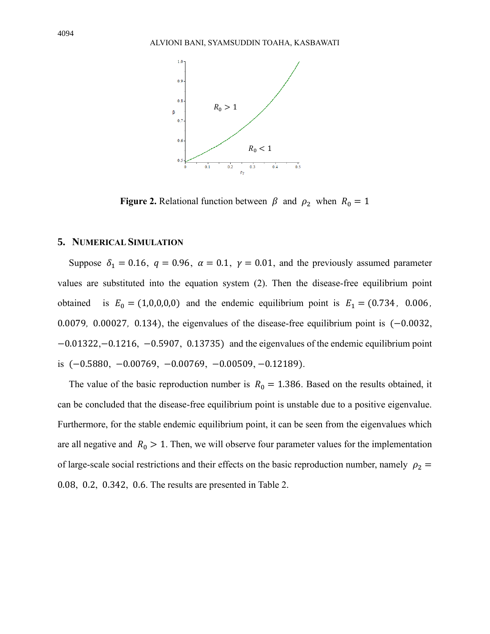

**Figure 2.** Relational function between  $\beta$  and  $\rho_2$  when  $R_0 = 1$ 

## **5. NUMERICAL SIMULATION**

Suppose  $\delta_1 = 0.16$ ,  $q = 0.96$ ,  $\alpha = 0.1$ ,  $\gamma = 0.01$ , and the previously assumed parameter values are substituted into the equation system (2). Then the disease-free equilibrium point obtained is  $E_0 = (1,0,0,0,0)$  and the endemic equilibrium point is  $E_1 = (0.734, 0.006,$ 0.0079*,* 0.00027*,* 0.134), the eigenvalues of the disease-free equilibrium point is (−0.0032, −0.01322,−0.1216, −0.5907, 0.13735) and the eigenvalues of the endemic equilibrium point is (−0.5880, −0.00769, −0.00769, −0.00509, −0.12189).

The value of the basic reproduction number is  $R_0 = 1.386$ . Based on the results obtained, it can be concluded that the disease-free equilibrium point is unstable due to a positive eigenvalue. Furthermore, for the stable endemic equilibrium point, it can be seen from the eigenvalues which are all negative and  $R_0 > 1$ . Then, we will observe four parameter values for the implementation of large-scale social restrictions and their effects on the basic reproduction number, namely  $\rho_2$  = 0.08, 0.2, 0.342, 0.6. The results are presented in Table 2.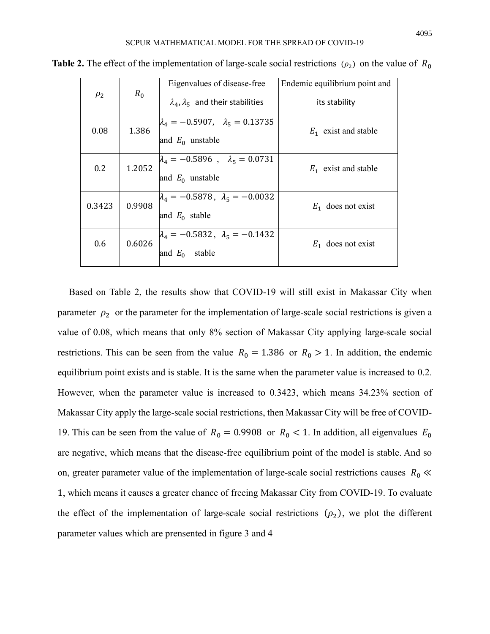|          |        |                                              | Eigenvalues of disease-free                                          | Endemic equilibrium point and |
|----------|--------|----------------------------------------------|----------------------------------------------------------------------|-------------------------------|
| $\rho_2$ | $R_0$  | $\lambda_4, \lambda_5$ and their stabilities | its stability                                                        |                               |
|          | 0.08   | 1.386                                        | $\lambda_4 = -0.5907$ , $\lambda_5 = 0.13735$<br>and $E_0$ unstable  | $E_1$ exist and stable        |
|          | 0.2    | 1.2052                                       | $\lambda_4 = -0.5896$ , $\lambda_5 = 0.0731$<br>and $E_0$ unstable   | $E_1$ exist and stable        |
|          | 0.3423 | 0.9908                                       | $\lambda_4 = -0.5878$ , $\lambda_5 = -0.0032$<br>and $E_0$ stable    | $E_1$ does not exist          |
|          | 0.6    | 0.6026                                       | $\lambda_4 = -0.5832$ , $\lambda_5 = -0.1432$<br>stable<br>and $E_0$ | $E_1$ does not exist          |

**Table 2.** The effect of the implementation of large-scale social restrictions  $(\rho_2)$  on the value of  $R_0$ 

Based on Table 2, the results show that COVID-19 will still exist in Makassar City when parameter  $\rho_2$  or the parameter for the implementation of large-scale social restrictions is given a value of 0.08, which means that only 8% section of Makassar City applying large-scale social restrictions. This can be seen from the value  $R_0 = 1.386$  or  $R_0 > 1$ . In addition, the endemic equilibrium point exists and is stable. It is the same when the parameter value is increased to 0.2. However, when the parameter value is increased to 0.3423, which means 34.23% section of Makassar City apply the large-scale social restrictions, then Makassar City will be free of COVID-19. This can be seen from the value of  $R_0 = 0.9908$  or  $R_0 < 1$ . In addition, all eigenvalues  $E_0$ are negative, which means that the disease-free equilibrium point of the model is stable. And so on, greater parameter value of the implementation of large-scale social restrictions causes  $R_0 \ll$ 1, which means it causes a greater chance of freeing Makassar City from COVID-19. To evaluate the effect of the implementation of large-scale social restrictions  $(\rho_2)$ , we plot the different parameter values which are prensented in figure 3 and 4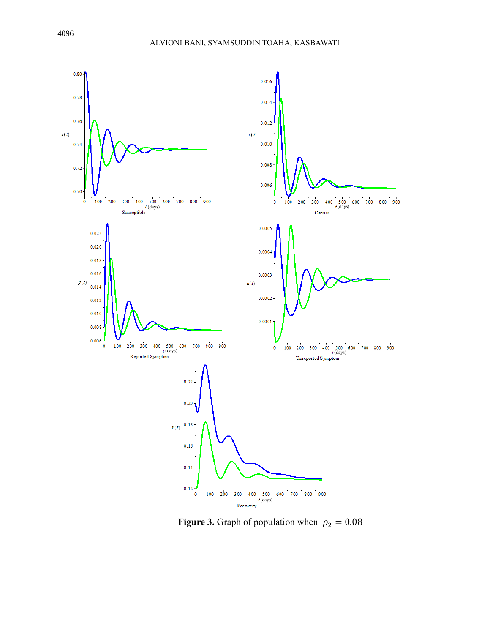

**Figure 3.** Graph of population when  $\rho_2 = 0.08$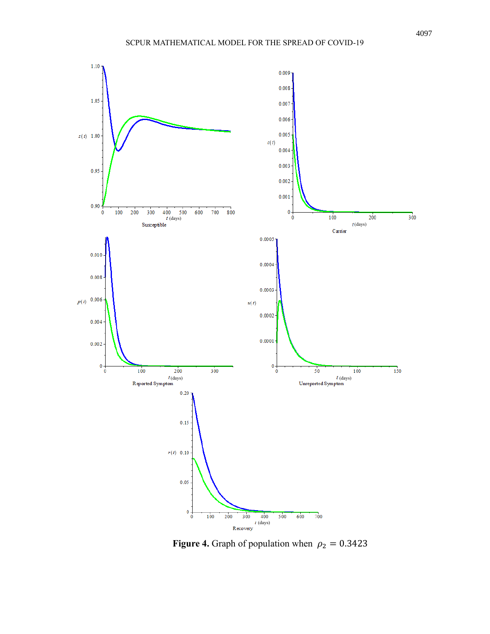

**Figure 4.** Graph of population when  $\rho_2 = 0.3423$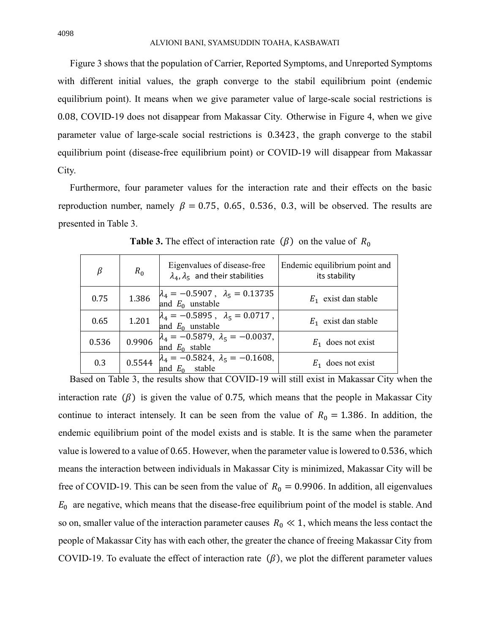Figure 3 shows that the population of Carrier, Reported Symptoms, and Unreported Symptoms with different initial values, the graph converge to the stabil equilibrium point (endemic equilibrium point). It means when we give parameter value of large-scale social restrictions is 0.08, COVID-19 does not disappear from Makassar City. Otherwise in Figure 4, when we give parameter value of large-scale social restrictions is 0.3423 , the graph converge to the stabil equilibrium point (disease-free equilibrium point) or COVID-19 will disappear from Makassar City.

Furthermore, four parameter values for the interaction rate and their effects on the basic reproduction number, namely  $\beta = 0.75, 0.65, 0.536, 0.3$ , will be observed. The results are presented in Table 3.

| $\beta$ | $R_0$  | Eigenvalues of disease-free<br>$\lambda_4$ , $\lambda_5$ and their stabilities | Endemic equilibrium point and<br>its stability |
|---------|--------|--------------------------------------------------------------------------------|------------------------------------------------|
| 0.75    | 1.386  | $\lambda_4 = -0.5907$ , $\lambda_5 = 0.13735$<br>and $E_0$ unstable            | $E_1$ exist dan stable                         |
| 0.65    | 1.201  | $\lambda_4 = -0.5895$ , $\lambda_5 = 0.0717$ ,<br>and $E_0$ unstable           | $E_1$ exist dan stable                         |
| 0.536   | 0.9906 | $\lambda_4 = -0.5879, \lambda_5 = -0.0037,$<br>and $E_0$ stable                | $E_1$ does not exist                           |
| 0.3     | 0.5544 | $\lambda_4 = -0.5824, \lambda_5 = -0.1608,$<br>stable<br>and $E_0$             | $E_1$ does not exist                           |

**Table 3.** The effect of interaction rate  $(\beta)$  on the value of  $R_0$ 

Based on Table 3, the results show that COVID-19 will still exist in Makassar City when the interaction rate  $(\beta)$  is given the value of 0.75, which means that the people in Makassar City continue to interact intensely. It can be seen from the value of  $R_0 = 1.386$ . In addition, the endemic equilibrium point of the model exists and is stable. It is the same when the parameter value is lowered to a value of 0.65. However, when the parameter value is lowered to 0.536, which means the interaction between individuals in Makassar City is minimized, Makassar City will be free of COVID-19. This can be seen from the value of  $R_0 = 0.9906$ . In addition, all eigenvalues  $E_0$  are negative, which means that the disease-free equilibrium point of the model is stable. And so on, smaller value of the interaction parameter causes  $R_0 \ll 1$ , which means the less contact the people of Makassar City has with each other, the greater the chance of freeing Makassar City from COVID-19. To evaluate the effect of interaction rate  $(\beta)$ , we plot the different parameter values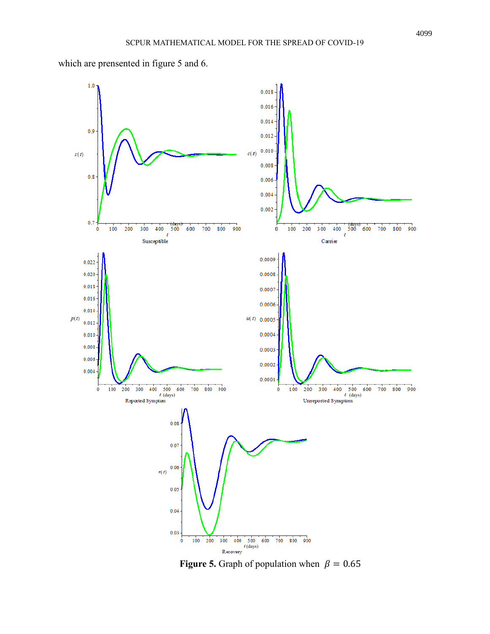

which are prensented in figure 5 and 6.

**Figure 5.** Graph of population when  $\beta = 0.65$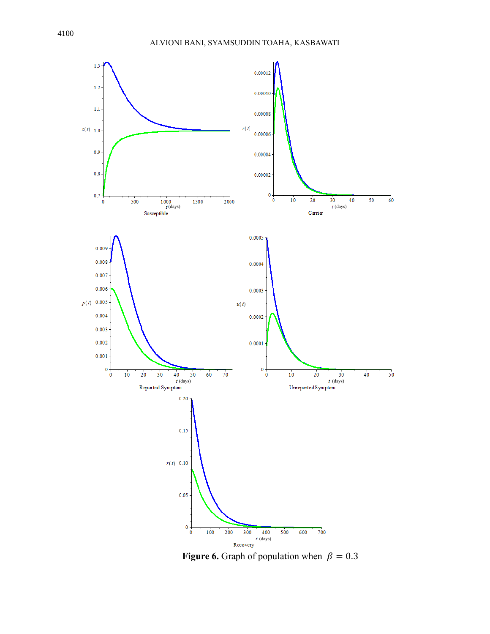

**Figure 6.** Graph of population when  $\beta = 0.3$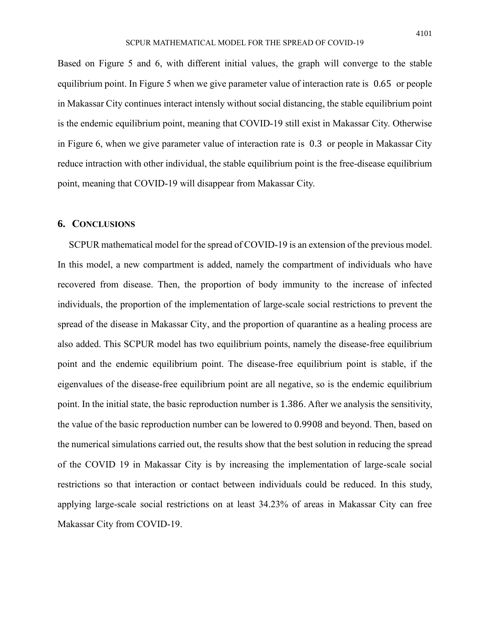Based on Figure 5 and 6, with different initial values, the graph will converge to the stable equilibrium point. In Figure 5 when we give parameter value of interaction rate is 0.65 or people in Makassar City continues interact intensly without social distancing, the stable equilibrium point is the endemic equilibrium point, meaning that COVID-19 still exist in Makassar City. Otherwise in Figure 6, when we give parameter value of interaction rate is 0.3 or people in Makassar City reduce intraction with other individual, the stable equilibrium point is the free-disease equilibrium point, meaning that COVID-19 will disappear from Makassar City.

# **6. CONCLUSIONS**

SCPUR mathematical model for the spread of COVID-19 is an extension of the previous model. In this model, a new compartment is added, namely the compartment of individuals who have recovered from disease. Then, the proportion of body immunity to the increase of infected individuals, the proportion of the implementation of large-scale social restrictions to prevent the spread of the disease in Makassar City, and the proportion of quarantine as a healing process are also added. This SCPUR model has two equilibrium points, namely the disease-free equilibrium point and the endemic equilibrium point. The disease-free equilibrium point is stable, if the eigenvalues of the disease-free equilibrium point are all negative, so is the endemic equilibrium point. In the initial state, the basic reproduction number is 1.386. After we analysis the sensitivity, the value of the basic reproduction number can be lowered to 0.9908 and beyond. Then, based on the numerical simulations carried out, the results show that the best solution in reducing the spread of the COVID 19 in Makassar City is by increasing the implementation of large-scale social restrictions so that interaction or contact between individuals could be reduced. In this study, applying large-scale social restrictions on at least 34.23% of areas in Makassar City can free Makassar City from COVID-19.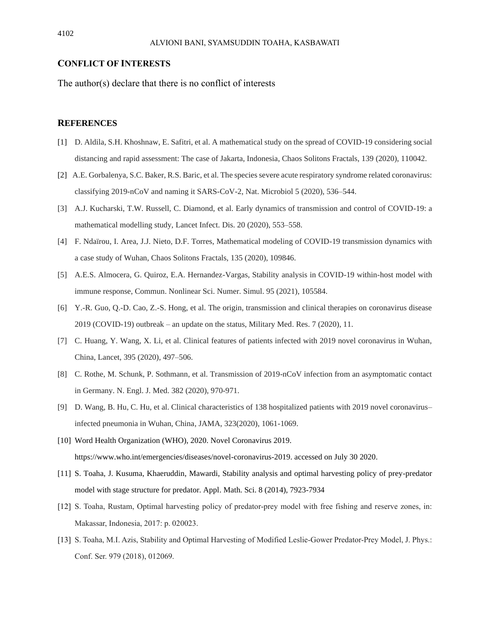#### **CONFLICT OF INTERESTS**

The author(s) declare that there is no conflict of interests

### **REFERENCES**

- [1] D. Aldila, S.H. Khoshnaw, E. Safitri, et al. A mathematical study on the spread of COVID-19 considering social distancing and rapid assessment: The case of Jakarta, Indonesia, Chaos Solitons Fractals, 139 (2020), 110042.
- [2] A.E. Gorbalenya, S.C. Baker, R.S. Baric, et al. The species severe acute respiratory syndrome related coronavirus: classifying 2019-nCoV and naming it SARS-CoV-2, Nat. Microbiol 5 (2020), 536–544.
- [3] A.J. Kucharski, T.W. Russell, C. Diamond, et al. Early dynamics of transmission and control of COVID-19: a mathematical modelling study, Lancet Infect. Dis. 20 (2020), 553–558.
- [4] F. Ndaïrou, I. Area, J.J. Nieto, D.F. Torres, Mathematical modeling of COVID-19 transmission dynamics with a case study of Wuhan, Chaos Solitons Fractals, 135 (2020), 109846.
- [5] A.E.S. Almocera, G. Quiroz, E.A. Hernandez-Vargas, Stability analysis in COVID-19 within-host model with immune response, Commun. Nonlinear Sci. Numer. Simul. 95 (2021), 105584.
- [6] Y.-R. Guo, Q.-D. Cao, Z.-S. Hong, et al. The origin, transmission and clinical therapies on coronavirus disease 2019 (COVID-19) outbreak – an update on the status, Military Med. Res. 7 (2020), 11.
- [7] C. Huang, Y. Wang, X. Li, et al. Clinical features of patients infected with 2019 novel coronavirus in Wuhan, China, Lancet, 395 (2020), 497–506.
- [8] C. Rothe, M. Schunk, P. Sothmann, et al. Transmission of 2019-nCoV infection from an asymptomatic contact in Germany. N. Engl. J. Med. 382 (2020), 970-971.
- [9] D. Wang, B. Hu, C. Hu, et al. Clinical characteristics of 138 hospitalized patients with 2019 novel coronavirus– infected pneumonia in Wuhan, China, JAMA, 323(2020), 1061-1069.
- [10] Word Health Organization (WHO), 2020. Novel Coronavirus 2019. https://www.who.int/emergencies/diseases/novel-coronavirus-2019. accessed on July 30 2020.
- [11] S. Toaha, J. Kusuma, Khaeruddin, Mawardi, Stability analysis and optimal harvesting policy of prey-predator model with stage structure for predator. Appl. Math. Sci. 8 (2014), 7923-7934
- [12] S. Toaha, Rustam, Optimal harvesting policy of predator-prey model with free fishing and reserve zones, in: Makassar, Indonesia, 2017: p. 020023.
- [13] S. Toaha, M.I. Azis, Stability and Optimal Harvesting of Modified Leslie-Gower Predator-Prey Model, J. Phys.: Conf. Ser. 979 (2018), 012069.